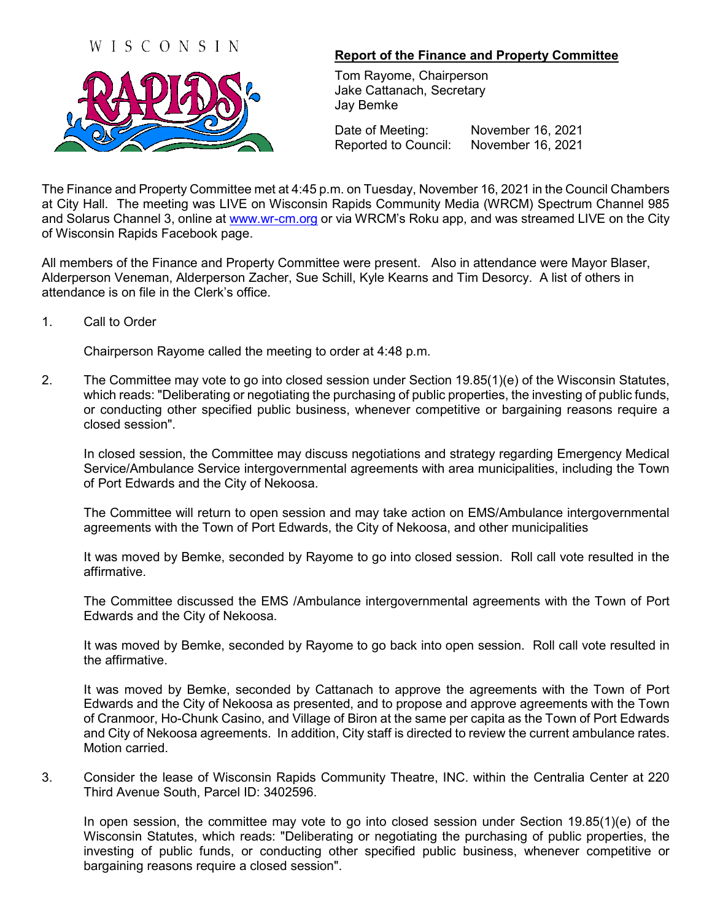## WISCONSIN



## **Report of the Finance and Property Committee**

Tom Rayome, Chairperson Jake Cattanach, Secretary Jay Bemke

Date of Meeting: November 16, 2021 Reported to Council: November 16, 2021

The Finance and Property Committee met at 4:45 p.m. on Tuesday, November 16, 2021 in the Council Chambers at City Hall. The meeting was LIVE on Wisconsin Rapids Community Media (WRCM) Spectrum Channel 985 and Solarus Channel 3, online at [www.wr-cm.org](http://www.wr-cm.org/) or via WRCM's Roku app, and was streamed LIVE on the City of Wisconsin Rapids Facebook page.

All members of the Finance and Property Committee were present. Also in attendance were Mayor Blaser, Alderperson Veneman, Alderperson Zacher, Sue Schill, Kyle Kearns and Tim Desorcy. A list of others in attendance is on file in the Clerk's office.

1. Call to Order

Chairperson Rayome called the meeting to order at 4:48 p.m.

2. The Committee may vote to go into closed session under Section 19.85(1)(e) of the Wisconsin Statutes, which reads: "Deliberating or negotiating the purchasing of public properties, the investing of public funds, or conducting other specified public business, whenever competitive or bargaining reasons require a closed session".

In closed session, the Committee may discuss negotiations and strategy regarding Emergency Medical Service/Ambulance Service intergovernmental agreements with area municipalities, including the Town of Port Edwards and the City of Nekoosa.

The Committee will return to open session and may take action on EMS/Ambulance intergovernmental agreements with the Town of Port Edwards, the City of Nekoosa, and other municipalities

It was moved by Bemke, seconded by Rayome to go into closed session. Roll call vote resulted in the affirmative.

The Committee discussed the EMS /Ambulance intergovernmental agreements with the Town of Port Edwards and the City of Nekoosa.

It was moved by Bemke, seconded by Rayome to go back into open session. Roll call vote resulted in the affirmative.

It was moved by Bemke, seconded by Cattanach to approve the agreements with the Town of Port Edwards and the City of Nekoosa as presented, and to propose and approve agreements with the Town of Cranmoor, Ho-Chunk Casino, and Village of Biron at the same per capita as the Town of Port Edwards and City of Nekoosa agreements. In addition, City staff is directed to review the current ambulance rates. Motion carried.

3. Consider the lease of Wisconsin Rapids Community Theatre, INC. within the Centralia Center at 220 Third Avenue South, Parcel ID: 3402596.

In open session, the committee may vote to go into closed session under Section 19.85(1)(e) of the Wisconsin Statutes, which reads: "Deliberating or negotiating the purchasing of public properties, the investing of public funds, or conducting other specified public business, whenever competitive or bargaining reasons require a closed session".